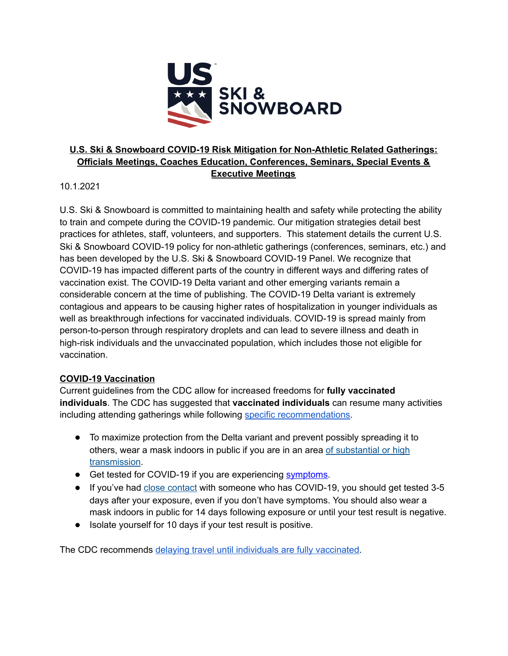

### **U.S. Ski & Snowboard COVID-19 Risk Mitigation for Non-Athletic Related Gatherings: Officials Meetings, Coaches Education, Conferences, Seminars, Special Events & Executive Meetings**

10.1.2021

U.S. Ski & Snowboard is committed to maintaining health and safety while protecting the ability to train and compete during the COVID-19 pandemic. Our mitigation strategies detail best practices for athletes, staff, volunteers, and supporters. This statement details the current U.S. Ski & Snowboard COVID-19 policy for non-athletic gatherings (conferences, seminars, etc.) and has been developed by the U.S. Ski & Snowboard COVID-19 Panel. We recognize that COVID-19 has impacted different parts of the country in different ways and differing rates of vaccination exist. The COVID-19 Delta variant and other emerging variants remain a considerable concern at the time of publishing. The COVID-19 Delta variant is extremely contagious and appears to be causing higher rates of hospitalization in younger individuals as well as breakthrough infections for vaccinated individuals. COVID-19 is spread mainly from person-to-person through respiratory droplets and can lead to severe illness and death in high-risk individuals and the unvaccinated population, which includes those not eligible for vaccination.

#### **COVID-19 Vaccination**

Current guidelines from the CDC allow for increased freedoms for **fully vaccinated individuals**. The CDC has suggested that **vaccinated individuals** can resume many activities including attending gatherings while following specific recommendations.

- To maximize protection from the Delta variant and prevent possibly spreading it to others, wear a mask indoors in public if you are in an area of substantial or high transmission.
- Get tested for COVID-19 if you are experiencing symptoms.
- If you've had close contact with someone who has COVID-19, you should get tested 3-5 days after your exposure, even if you don't have symptoms. You should also wear a mask indoors in public for 14 days following exposure or until your test result is negative.
- Isolate yourself for 10 days if your test result is positive.

The CDC recommends delaying travel until individuals are fully vaccinated.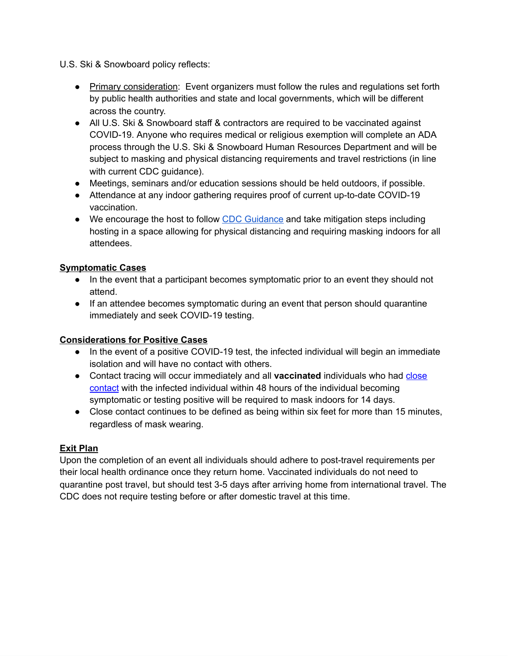U.S. Ski & Snowboard policy reflects:

- Primary consideration: Event organizers must follow the rules and regulations set forth by public health authorities and state and local governments, which will be different across the country.
- All U.S. Ski & Snowboard staff & contractors are required to be vaccinated against COVID-19. Anyone who requires medical or religious exemption will complete an ADA process through the U.S. Ski & Snowboard Human Resources Department and will be subject to masking and physical distancing requirements and travel restrictions (in line with current CDC guidance).
- Meetings, seminars and/or education sessions should be held outdoors, if possible.
- Attendance at any indoor gathering requires proof of current up-to-date COVID-19 vaccination.
- We encourage the host to follow CDC Guidance and take mitigation steps including hosting in a space allowing for physical distancing and requiring masking indoors for all attendees.

### **Symptomatic Cases**

- In the event that a participant becomes symptomatic prior to an event they should not attend.
- If an attendee becomes symptomatic during an event that person should quarantine immediately and seek COVID-19 testing.

# **Considerations for Positive Cases**

- In the event of a positive COVID-19 test, the infected individual will begin an immediate isolation and will have no contact with others.
- Contact tracing will occur immediately and all **vaccinated** individuals who had close contact with the infected individual within 48 hours of the individual becoming symptomatic or testing positive will be required to mask indoors for 14 days.
- Close contact continues to be defined as being within six feet for more than 15 minutes, regardless of mask wearing.

# **Exit Plan**

Upon the completion of an event all individuals should adhere to post-travel requirements per their local health ordinance once they return home. Vaccinated individuals do not need to quarantine post travel, but should test 3-5 days after arriving home from international travel. The CDC does not require testing before or after domestic travel at this time.